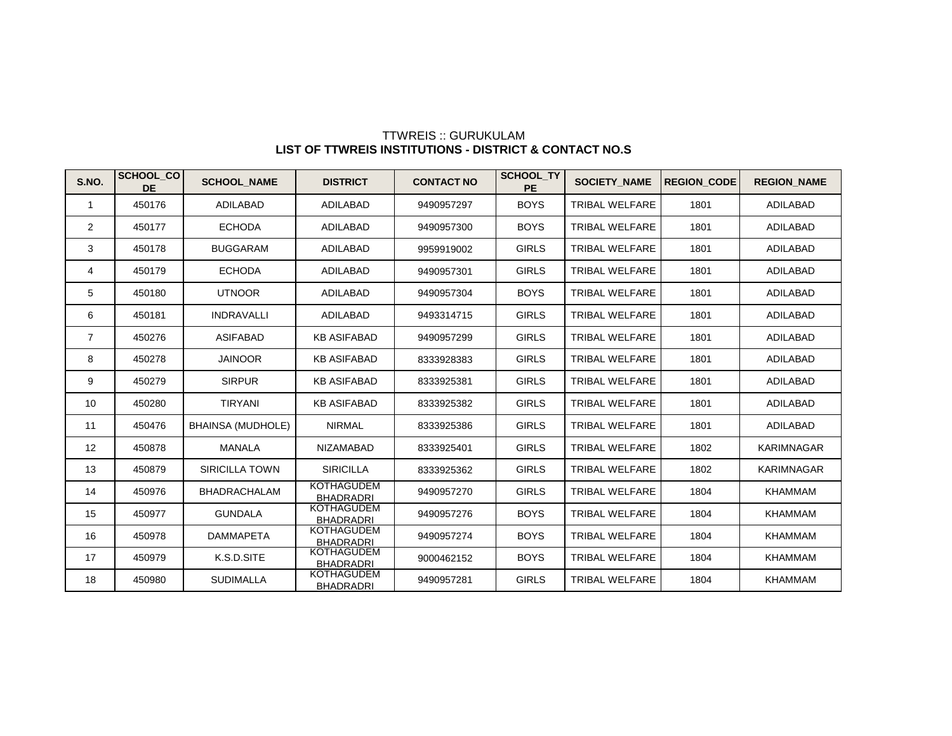| S.NO.          | <b>SCHOOL CO</b><br><b>DE</b> | <b>SCHOOL NAME</b>       | <b>DISTRICT</b>                       | <b>CONTACT NO</b> | <b>SCHOOL TY</b><br><b>PE</b> | <b>SOCIETY NAME</b>   | <b>REGION CODE</b> | <b>REGION NAME</b> |
|----------------|-------------------------------|--------------------------|---------------------------------------|-------------------|-------------------------------|-----------------------|--------------------|--------------------|
| $\mathbf 1$    | 450176                        | <b>ADILABAD</b>          | <b>ADILABAD</b>                       | 9490957297        | <b>BOYS</b>                   | <b>TRIBAL WELFARE</b> | 1801               | <b>ADILABAD</b>    |
| 2              | 450177                        | <b>ECHODA</b>            | <b>ADILABAD</b>                       | 9490957300        | <b>BOYS</b>                   | <b>TRIBAL WELFARE</b> | 1801               | ADILABAD           |
| 3              | 450178                        | <b>BUGGARAM</b>          | <b>ADILABAD</b>                       | 9959919002        | <b>GIRLS</b>                  | <b>TRIBAL WELFARE</b> | 1801               | <b>ADILABAD</b>    |
| 4              | 450179                        | <b>ECHODA</b>            | <b>ADILABAD</b>                       | 9490957301        | <b>GIRLS</b>                  | <b>TRIBAL WELFARE</b> | 1801               | <b>ADILABAD</b>    |
| 5              | 450180                        | <b>UTNOOR</b>            | <b>ADILABAD</b>                       | 9490957304        | <b>BOYS</b>                   | <b>TRIBAL WELFARE</b> | 1801               | <b>ADILABAD</b>    |
| 6              | 450181                        | <b>INDRAVALLI</b>        | <b>ADILABAD</b>                       | 9493314715        | <b>GIRLS</b>                  | <b>TRIBAL WELFARE</b> | 1801               | <b>ADILABAD</b>    |
| $\overline{7}$ | 450276                        | <b>ASIFABAD</b>          | <b>KB ASIFABAD</b>                    | 9490957299        | <b>GIRLS</b>                  | <b>TRIBAL WELFARE</b> | 1801               | <b>ADILABAD</b>    |
| 8              | 450278                        | <b>JAINOOR</b>           | <b>KB ASIFABAD</b>                    | 8333928383        | <b>GIRLS</b>                  | <b>TRIBAL WELFARE</b> | 1801               | ADILABAD           |
| 9              | 450279                        | <b>SIRPUR</b>            | <b>KB ASIFABAD</b>                    | 8333925381        | <b>GIRLS</b>                  | TRIBAL WELFARE        | 1801               | ADILABAD           |
| 10             | 450280                        | <b>TIRYANI</b>           | <b>KB ASIFABAD</b>                    | 8333925382        | <b>GIRLS</b>                  | <b>TRIBAL WELFARE</b> | 1801               | ADILABAD           |
| 11             | 450476                        | <b>BHAINSA (MUDHOLE)</b> | <b>NIRMAL</b>                         | 8333925386        | <b>GIRLS</b>                  | <b>TRIBAL WELFARE</b> | 1801               | <b>ADILABAD</b>    |
| 12             | 450878                        | <b>MANALA</b>            | <b>NIZAMABAD</b>                      | 8333925401        | <b>GIRLS</b>                  | <b>TRIBAL WELFARE</b> | 1802               | <b>KARIMNAGAR</b>  |
| 13             | 450879                        | <b>SIRICILLA TOWN</b>    | <b>SIRICILLA</b>                      | 8333925362        | <b>GIRLS</b>                  | <b>TRIBAL WELFARE</b> | 1802               | <b>KARIMNAGAR</b>  |
| 14             | 450976                        | <b>BHADRACHALAM</b>      | <b>KOTHAGUDEM</b><br><b>BHADRADRI</b> | 9490957270        | <b>GIRLS</b>                  | <b>TRIBAL WELFARE</b> | 1804               | <b>KHAMMAM</b>     |
| 15             | 450977                        | <b>GUNDALA</b>           | <b>KOTHAGUDEM</b><br><b>BHADRADRI</b> | 9490957276        | <b>BOYS</b>                   | <b>TRIBAL WELFARE</b> | 1804               | <b>KHAMMAM</b>     |
| 16             | 450978                        | <b>DAMMAPETA</b>         | <b>KOTHAGUDEM</b><br><b>BHADRADRI</b> | 9490957274        | <b>BOYS</b>                   | <b>TRIBAL WELFARE</b> | 1804               | <b>KHAMMAM</b>     |
| 17             | 450979                        | K.S.D.SITE               | <b>KOTHAGUDEM</b><br><b>BHADRADRI</b> | 9000462152        | <b>BOYS</b>                   | <b>TRIBAL WELFARE</b> | 1804               | <b>KHAMMAM</b>     |
| 18             | 450980                        | <b>SUDIMALLA</b>         | <b>KOTHAGUDEM</b><br><b>BHADRADRI</b> | 9490957281        | <b>GIRLS</b>                  | <b>TRIBAL WELFARE</b> | 1804               | <b>KHAMMAM</b>     |

## TTWREIS :: GURUKULAM **LIST OF TTWREIS INSTITUTIONS - DISTRICT & CONTACT NO.S**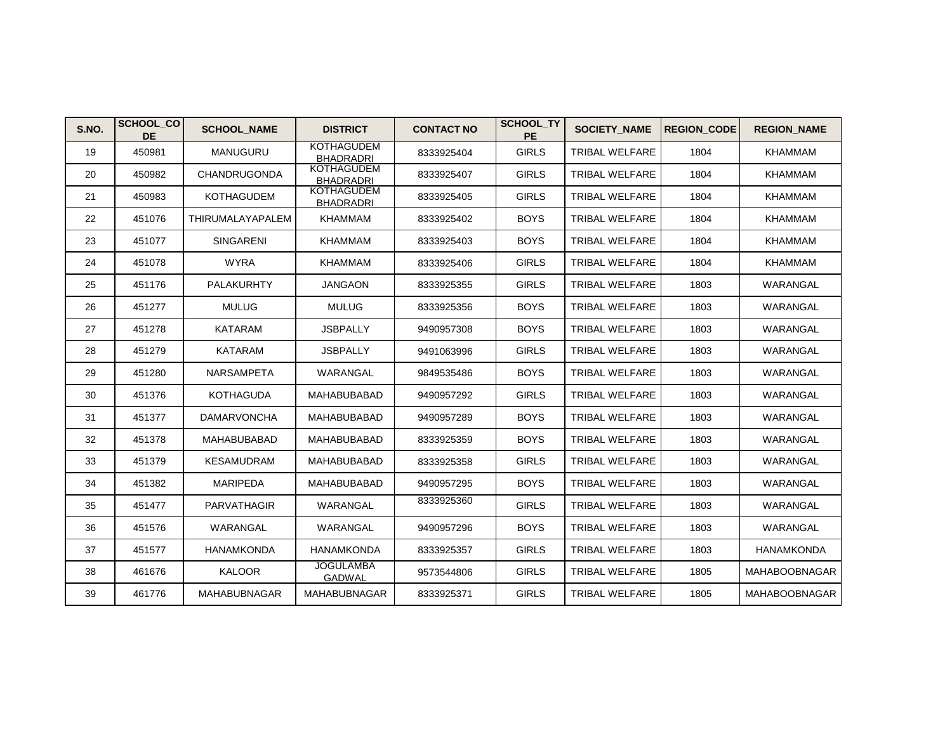| S.NO. | <b>SCHOOL CO</b><br><b>DE</b> | <b>SCHOOL NAME</b>  | <b>DISTRICT</b>                       | <b>CONTACT NO</b> | SCHOOL_TY<br><b>PE</b> | <b>SOCIETY NAME</b>   | <b>REGION CODE</b> | <b>REGION NAME</b>   |
|-------|-------------------------------|---------------------|---------------------------------------|-------------------|------------------------|-----------------------|--------------------|----------------------|
| 19    | 450981                        | <b>MANUGURU</b>     | <b>KOTHAGUDEM</b><br><b>BHADRADRI</b> | 8333925404        | <b>GIRLS</b>           | <b>TRIBAL WELFARE</b> | 1804               | <b>KHAMMAM</b>       |
| 20    | 450982                        | <b>CHANDRUGONDA</b> | <b>KOTHAGUDEM</b><br><b>BHADRADRI</b> | 8333925407        | <b>GIRLS</b>           | <b>TRIBAL WELFARE</b> | 1804               | <b>KHAMMAM</b>       |
| 21    | 450983                        | <b>KOTHAGUDEM</b>   | <b>KOTHAGUDEM</b><br><b>BHADRADRI</b> | 8333925405        | <b>GIRLS</b>           | <b>TRIBAL WELFARE</b> | 1804               | <b>KHAMMAM</b>       |
| 22    | 451076                        | THIRUMALAYAPALEM    | <b>KHAMMAM</b>                        | 8333925402        | <b>BOYS</b>            | <b>TRIBAL WELFARE</b> | 1804               | <b>KHAMMAM</b>       |
| 23    | 451077                        | <b>SINGARENI</b>    | <b>KHAMMAM</b>                        | 8333925403        | <b>BOYS</b>            | <b>TRIBAL WELFARE</b> | 1804               | <b>KHAMMAM</b>       |
| 24    | 451078                        | <b>WYRA</b>         | <b>KHAMMAM</b>                        | 8333925406        | <b>GIRLS</b>           | <b>TRIBAL WELFARE</b> | 1804               | <b>KHAMMAM</b>       |
| 25    | 451176                        | PALAKURHTY          | <b>JANGAON</b>                        | 8333925355        | <b>GIRLS</b>           | <b>TRIBAL WELFARE</b> | 1803               | WARANGAL             |
| 26    | 451277                        | <b>MULUG</b>        | <b>MULUG</b>                          | 8333925356        | <b>BOYS</b>            | <b>TRIBAL WELFARE</b> | 1803               | WARANGAL             |
| 27    | 451278                        | <b>KATARAM</b>      | <b>JSBPALLY</b>                       | 9490957308        | <b>BOYS</b>            | <b>TRIBAL WELFARE</b> | 1803               | WARANGAL             |
| 28    | 451279                        | <b>KATARAM</b>      | <b>JSBPALLY</b>                       | 9491063996        | <b>GIRLS</b>           | <b>TRIBAL WELFARE</b> | 1803               | WARANGAL             |
| 29    | 451280                        | <b>NARSAMPETA</b>   | WARANGAL                              | 9849535486        | <b>BOYS</b>            | <b>TRIBAL WELFARE</b> | 1803               | WARANGAL             |
| 30    | 451376                        | <b>KOTHAGUDA</b>    | <b>MAHABUBABAD</b>                    | 9490957292        | <b>GIRLS</b>           | <b>TRIBAL WELFARE</b> | 1803               | WARANGAL             |
| 31    | 451377                        | <b>DAMARVONCHA</b>  | <b>MAHABUBABAD</b>                    | 9490957289        | <b>BOYS</b>            | <b>TRIBAL WELFARE</b> | 1803               | WARANGAL             |
| 32    | 451378                        | <b>MAHABUBABAD</b>  | <b>MAHABUBABAD</b>                    | 8333925359        | <b>BOYS</b>            | <b>TRIBAL WELFARE</b> | 1803               | WARANGAL             |
| 33    | 451379                        | <b>KESAMUDRAM</b>   | <b>MAHABUBABAD</b>                    | 8333925358        | <b>GIRLS</b>           | <b>TRIBAL WELFARE</b> | 1803               | WARANGAL             |
| 34    | 451382                        | <b>MARIPEDA</b>     | <b>MAHABUBABAD</b>                    | 9490957295        | <b>BOYS</b>            | <b>TRIBAL WELFARE</b> | 1803               | WARANGAL             |
| 35    | 451477                        | PARVATHAGIR         | WARANGAL                              | 8333925360        | <b>GIRLS</b>           | <b>TRIBAL WELFARE</b> | 1803               | WARANGAL             |
| 36    | 451576                        | WARANGAL            | WARANGAL                              | 9490957296        | <b>BOYS</b>            | <b>TRIBAL WELFARE</b> | 1803               | WARANGAL             |
| 37    | 451577                        | <b>HANAMKONDA</b>   | <b>HANAMKONDA</b>                     | 8333925357        | <b>GIRLS</b>           | <b>TRIBAL WELFARE</b> | 1803               | <b>HANAMKONDA</b>    |
| 38    | 461676                        | <b>KALOOR</b>       | <b>JOGULAMBA</b><br><b>GADWAL</b>     | 9573544806        | <b>GIRLS</b>           | <b>TRIBAL WELFARE</b> | 1805               | <b>MAHABOOBNAGAR</b> |
| 39    | 461776                        | MAHABUBNAGAR        | <b>MAHABUBNAGAR</b>                   | 8333925371        | <b>GIRLS</b>           | <b>TRIBAL WELFARE</b> | 1805               | MAHABOOBNAGAR        |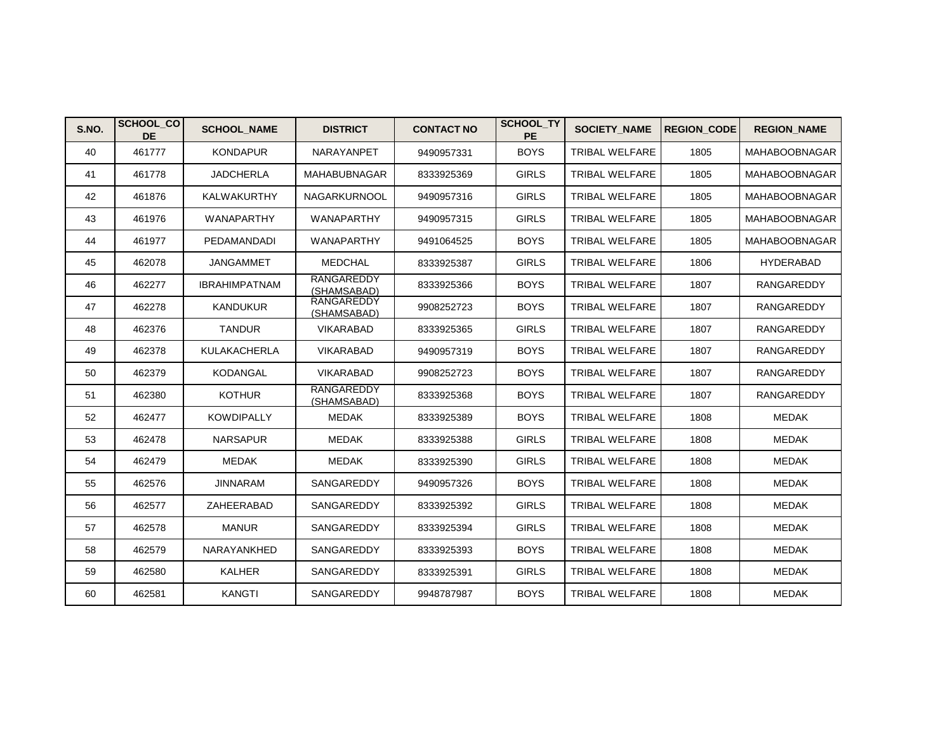| S.NO. | <b>SCHOOL CO</b><br><b>DE</b> | <b>SCHOOL NAME</b>   | <b>DISTRICT</b>           | <b>CONTACT NO</b> | SCHOOL_TY<br><b>PE</b> | <b>SOCIETY_NAME</b>   | <b>REGION CODE</b> | <b>REGION NAME</b>   |
|-------|-------------------------------|----------------------|---------------------------|-------------------|------------------------|-----------------------|--------------------|----------------------|
| 40    | 461777                        | <b>KONDAPUR</b>      | NARAYANPET                | 9490957331        | <b>BOYS</b>            | <b>TRIBAL WELFARE</b> | 1805               | <b>MAHABOOBNAGAR</b> |
| 41    | 461778                        | <b>JADCHERLA</b>     | MAHABUBNAGAR              | 8333925369        | <b>GIRLS</b>           | <b>TRIBAL WELFARE</b> | 1805               | <b>MAHABOOBNAGAR</b> |
| 42    | 461876                        | <b>KALWAKURTHY</b>   | <b>NAGARKURNOOL</b>       | 9490957316        | <b>GIRLS</b>           | <b>TRIBAL WELFARE</b> | 1805               | <b>MAHABOOBNAGAR</b> |
| 43    | 461976                        | WANAPARTHY           | WANAPARTHY                | 9490957315        | <b>GIRLS</b>           | <b>TRIBAL WELFARE</b> | 1805               | <b>MAHABOOBNAGAR</b> |
| 44    | 461977                        | PEDAMANDADI          | WANAPARTHY                | 9491064525        | <b>BOYS</b>            | TRIBAL WELFARE        | 1805               | <b>MAHABOOBNAGAR</b> |
| 45    | 462078                        | <b>JANGAMMET</b>     | <b>MEDCHAL</b>            | 8333925387        | <b>GIRLS</b>           | <b>TRIBAL WELFARE</b> | 1806               | <b>HYDERABAD</b>     |
| 46    | 462277                        | <b>IBRAHIMPATNAM</b> | RANGAREDDY<br>(SHAMSABAD) | 8333925366        | <b>BOYS</b>            | TRIBAL WELFARE        | 1807               | RANGAREDDY           |
| 47    | 462278                        | <b>KANDUKUR</b>      | RANGAREDDY<br>(SHAMSABAD) | 9908252723        | <b>BOYS</b>            | <b>TRIBAL WELFARE</b> | 1807               | <b>RANGAREDDY</b>    |
| 48    | 462376                        | <b>TANDUR</b>        | <b>VIKARABAD</b>          | 8333925365        | <b>GIRLS</b>           | <b>TRIBAL WELFARE</b> | 1807               | RANGAREDDY           |
| 49    | 462378                        | <b>KULAKACHERLA</b>  | <b>VIKARABAD</b>          | 9490957319        | <b>BOYS</b>            | <b>TRIBAL WELFARE</b> | 1807               | <b>RANGAREDDY</b>    |
| 50    | 462379                        | <b>KODANGAL</b>      | <b>VIKARABAD</b>          | 9908252723        | <b>BOYS</b>            | <b>TRIBAL WELFARE</b> | 1807               | <b>RANGAREDDY</b>    |
| 51    | 462380                        | <b>KOTHUR</b>        | RANGAREDDY<br>(SHAMSABAD) | 8333925368        | <b>BOYS</b>            | <b>TRIBAL WELFARE</b> | 1807               | RANGAREDDY           |
| 52    | 462477                        | <b>KOWDIPALLY</b>    | MEDAK                     | 8333925389        | <b>BOYS</b>            | TRIBAL WELFARE        | 1808               | MEDAK                |
| 53    | 462478                        | <b>NARSAPUR</b>      | MEDAK                     | 8333925388        | <b>GIRLS</b>           | <b>TRIBAL WELFARE</b> | 1808               | MEDAK                |
| 54    | 462479                        | <b>MEDAK</b>         | MEDAK                     | 8333925390        | <b>GIRLS</b>           | <b>TRIBAL WELFARE</b> | 1808               | MEDAK                |
| 55    | 462576                        | <b>JINNARAM</b>      | SANGAREDDY                | 9490957326        | <b>BOYS</b>            | <b>TRIBAL WELFARE</b> | 1808               | <b>MEDAK</b>         |
| 56    | 462577                        | ZAHEERABAD           | SANGAREDDY                | 8333925392        | <b>GIRLS</b>           | TRIBAL WELFARE        | 1808               | MEDAK                |
| 57    | 462578                        | <b>MANUR</b>         | SANGAREDDY                | 8333925394        | <b>GIRLS</b>           | TRIBAL WELFARE        | 1808               | <b>MEDAK</b>         |
| 58    | 462579                        | NARAYANKHED          | SANGAREDDY                | 8333925393        | <b>BOYS</b>            | <b>TRIBAL WELFARE</b> | 1808               | <b>MEDAK</b>         |
| 59    | 462580                        | <b>KALHER</b>        | SANGAREDDY                | 8333925391        | <b>GIRLS</b>           | <b>TRIBAL WELFARE</b> | 1808               | <b>MEDAK</b>         |
| 60    | 462581                        | KANGTI               | SANGAREDDY                | 9948787987        | <b>BOYS</b>            | <b>TRIBAL WELFARE</b> | 1808               | <b>MEDAK</b>         |